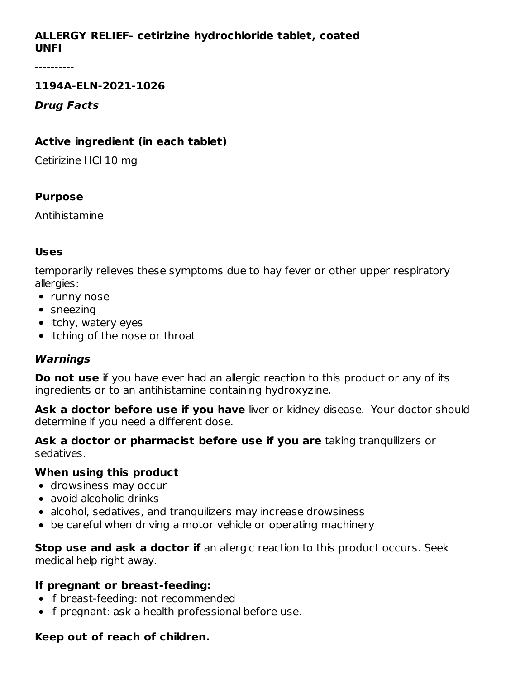## **ALLERGY RELIEF- cetirizine hydrochloride tablet, coated UNFI**

#### **1194A-ELN-2021-1026**

#### **Drug Facts**

## **Active ingredient (in each tablet)**

Cetirizine HCl 10 mg

### **Purpose**

Antihistamine

# **Uses**

temporarily relieves these symptoms due to hay fever or other upper respiratory allergies:

- runny nose
- sneezing
- itchy, watery eyes
- itching of the nose or throat

# **Warnings**

**Do not use** if you have ever had an allergic reaction to this product or any of its ingredients or to an antihistamine containing hydroxyzine.

**Ask a doctor before use if you have** liver or kidney disease. Your doctor should determine if you need a different dose.

**Ask a doctor or pharmacist before use if you are** taking tranquilizers or sedatives.

### **When using this product**

- drowsiness may occur
- avoid alcoholic drinks
- alcohol, sedatives, and tranquilizers may increase drowsiness
- be careful when driving a motor vehicle or operating machinery

**Stop use and ask a doctor if** an allergic reaction to this product occurs. Seek medical help right away.

### **If pregnant or breast-feeding:**

- if breast-feeding: not recommended
- if pregnant: ask a health professional before use.

### **Keep out of reach of children.**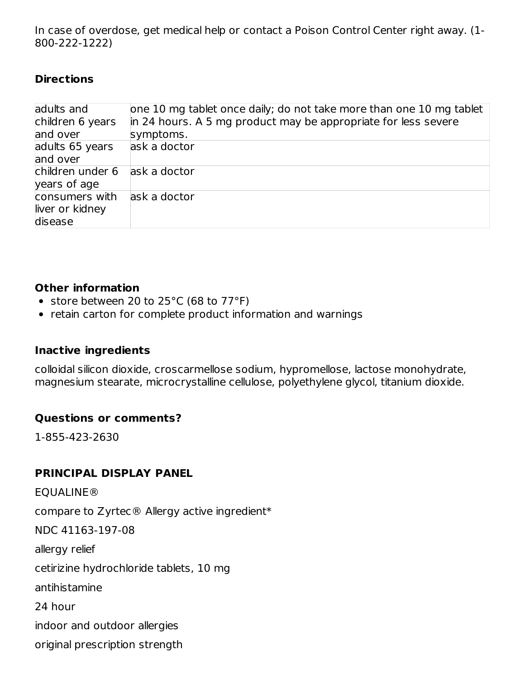In case of overdose, get medical help or contact a Poison Control Center right away. (1- 800-222-1222)

#### **Directions**

| adults and<br>children 6 years<br>and over   | one 10 mg tablet once daily; do not take more than one 10 mg tablet<br>in 24 hours. A 5 mg product may be appropriate for less severe<br>symptoms. |
|----------------------------------------------|----------------------------------------------------------------------------------------------------------------------------------------------------|
| adults 65 years<br>and over                  | ask a doctor                                                                                                                                       |
| children under 6<br>years of age             | ask a doctor                                                                                                                                       |
| consumers with<br>liver or kidney<br>disease | ask a doctor                                                                                                                                       |

#### **Other information**

- store between 20 to 25°C (68 to 77°F)
- retain carton for complete product information and warnings

### **Inactive ingredients**

colloidal silicon dioxide, croscarmellose sodium, hypromellose, lactose monohydrate, magnesium stearate, microcrystalline cellulose, polyethylene glycol, titanium dioxide.

### **Questions or comments?**

1-855-423-2630

### **PRINCIPAL DISPLAY PANEL**

EQUALINE® compare to Zyrtec® Allergy active ingredient\* NDC 41163-197-08 allergy relief cetirizine hydrochloride tablets, 10 mg antihistamine 24 hour indoor and outdoor allergies original prescription strength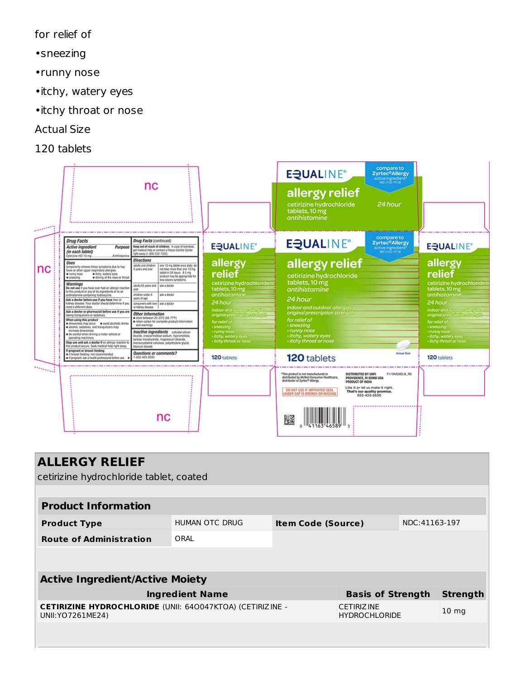for relief of

- •sneezing
- •runny nose
- •itchy, watery eyes
- •itchy throat or nose
- Actual Size
- 120 tablets

| <b>Contractor</b> |                                                                                                                                                                                                                                                                                                                                                                                                                                                                                                                                                                                                                                                                                                                                                                                                                                                                                                                               | nc                                                                                                                                                                                                                                                                                                                                                                                                                                                                                                                                                                                                                                                                                                                                              |                                                                                                                                                                                                                                                               | <b>EQUALINE®</b><br>allergy relief<br>cetirizine hydrochloride<br>tablets, 10 mg<br>antihistamine                                                                                                                                                                                                                                                     | compare to<br><b>Zyrtec®Allergy</b><br>active ingredient."<br>24 hour |                                                                                                                                                                                                                        |
|-------------------|-------------------------------------------------------------------------------------------------------------------------------------------------------------------------------------------------------------------------------------------------------------------------------------------------------------------------------------------------------------------------------------------------------------------------------------------------------------------------------------------------------------------------------------------------------------------------------------------------------------------------------------------------------------------------------------------------------------------------------------------------------------------------------------------------------------------------------------------------------------------------------------------------------------------------------|-------------------------------------------------------------------------------------------------------------------------------------------------------------------------------------------------------------------------------------------------------------------------------------------------------------------------------------------------------------------------------------------------------------------------------------------------------------------------------------------------------------------------------------------------------------------------------------------------------------------------------------------------------------------------------------------------------------------------------------------------|---------------------------------------------------------------------------------------------------------------------------------------------------------------------------------------------------------------------------------------------------------------|-------------------------------------------------------------------------------------------------------------------------------------------------------------------------------------------------------------------------------------------------------------------------------------------------------------------------------------------------------|-----------------------------------------------------------------------|------------------------------------------------------------------------------------------------------------------------------------------------------------------------------------------------------------------------|
|                   | <b>Drug Facts</b><br><b>Active ingredient</b><br>Purpose<br>(in each tablet)<br>Cetinizine HCl 10 mg<br>Anthistamin                                                                                                                                                                                                                                                                                                                                                                                                                                                                                                                                                                                                                                                                                                                                                                                                           | <b>Drug Facts (continued)</b><br>Keep out of reach of children. In case of overdose,<br>get medical help or contact a Poison Control Center<br>right away (1-800-222-1222).                                                                                                                                                                                                                                                                                                                                                                                                                                                                                                                                                                     | <b>EQUALINE®</b>                                                                                                                                                                                                                                              | <b>EQUALINE®</b>                                                                                                                                                                                                                                                                                                                                      | compare to<br><b>Zyrtec®Allergy</b><br>active ingredient*             | <b>EQUALINE®</b>                                                                                                                                                                                                       |
| nc                | Uses<br>temporarily relieves these symptoms due to hay<br>fever or other upper respiratory allergies:<br>a nunny nose<br>a ltchy, watery eyes<br>Riching of the nose or throat<br>sneezing<br>Warnings<br>Do not use if you have ever had an allergic reaction<br>to this product or any of its ingredients or to an<br>antihistamine containing hydroxyzine.<br>Ask a doctor before use if you have liver or<br>kidney disease. Your doctor should determine if you<br>need a different dose.<br>Ask a doctor or pharmacist before use if you are<br>taking tranquilizers or sedatives.<br>When using this product<br>crowsiness may occur = a avoid alcoholic drinks<br>alcohol, sedatives, and tranquilizers may<br>increase drowsiness<br>be careful when driving a motor vehicle or<br>operating machinery<br>Stop use and ask a doctor if an allergic reaction to<br>this product occurs. Seek medical help right away. | <b>Directions</b><br>adults and children<br>one 10 mg tablet once daily; do<br>6 years and over<br>not take more than one 10 mg<br>tablet in 24 hours. A 5 mg<br>product may be appropriate for<br>less severe symptoms.<br>adults 65 years and<br>ask a doctor<br>ow<br>children under 6<br>ask a doctor<br>years of age<br>consumers with liver ask a doctor<br>or kidney disease<br>Other information<br>store between 20-25°C (68-77°F)<br>retain carton for complete product information<br>and warnings<br>Inactive ingredients coloidal silicon<br>dioxide, croscarmellose sodium, hypromellose,<br>lactose monohydrate, magnesium stearate,<br>microcrystalline cellulose, polyethylene glycol,<br><b><i><u>Stanium</u></i></b> dicuide | allergy<br>relief<br>cetirizine hydrochloride<br>tablets, 10 mg<br>antihistamine<br>24 hour<br>indoor and outdoor allergies<br>original prescription strength-<br>for relief of<br>· sneezing<br>· runny nose<br>- itchy, watery eyes<br>itchy throat or nose | allergy relief<br>cetirizine hydrochloride<br>tablets, 10 mg<br>antihistamine<br>24 hour<br>indoor and outdoor allergies<br>original prescription strength<br>for relief of<br>· sneezing<br>· runny nose<br>· itchy, watery eyes<br>· itchy throat or nose                                                                                           | 24 hour<br>for relief of<br>· sneezing                                | allergy<br>relief<br>cetirizine hydrochloride<br>tablets, 10 mg<br>antihistamine<br>indoor and out door allergie.<br>original prescription strength-<br>· runny nose<br>- itchy, watery eyes<br>- itchy throat or nose |
|                   | If pregnant or breast-feeding:<br>a if breast-feeding: not recommended<br>If if pregnant: ask a health professional before use.                                                                                                                                                                                                                                                                                                                                                                                                                                                                                                                                                                                                                                                                                                                                                                                               | Questions or comments?<br>1-855-423-2630                                                                                                                                                                                                                                                                                                                                                                                                                                                                                                                                                                                                                                                                                                        | 120 tablets                                                                                                                                                                                                                                                   | 120 tablets                                                                                                                                                                                                                                                                                                                                           | Actual Size                                                           | 120 tablets                                                                                                                                                                                                            |
| <b>Stationary</b> |                                                                                                                                                                                                                                                                                                                                                                                                                                                                                                                                                                                                                                                                                                                                                                                                                                                                                                                               | nc                                                                                                                                                                                                                                                                                                                                                                                                                                                                                                                                                                                                                                                                                                                                              |                                                                                                                                                                                                                                                               | This product is not manufactured or<br>DISTRIBUTED BY UNFI<br>distributed by McNeil Consumer Healthcare,<br>PROVIDENCE, RI 02908 USA<br>distributor of Zyrtec® Allergy.<br>PRODUCT OF INDIA<br>Like it or let us make it right.<br>DO NOT USE IF IMPRINTED SEAL<br>That's our quality promise.<br>UNDER CAP IS BROKEN OR MISSING<br>855-423-2630<br>礈 | F1194A08ELN R0                                                        |                                                                                                                                                                                                                        |

| <b>ALLERGY RELIEF</b><br>cetirizine hydrochloride tablet, coated                         |                          |                           |                                           |               |                  |  |
|------------------------------------------------------------------------------------------|--------------------------|---------------------------|-------------------------------------------|---------------|------------------|--|
|                                                                                          |                          |                           |                                           |               |                  |  |
| <b>Product Information</b>                                                               |                          |                           |                                           |               |                  |  |
| <b>Product Type</b>                                                                      | HUMAN OTC DRUG           | <b>Item Code (Source)</b> |                                           | NDC:41163-197 |                  |  |
| <b>Route of Administration</b>                                                           | ORAL                     |                           |                                           |               |                  |  |
|                                                                                          |                          |                           |                                           |               |                  |  |
| <b>Active Ingredient/Active Moiety</b>                                                   |                          |                           |                                           |               |                  |  |
| <b>Ingredient Name</b>                                                                   | <b>Basis of Strength</b> |                           | <b>Strength</b>                           |               |                  |  |
| <b>CETIRIZINE HYDROCHLORIDE (UNII: 640047KTOA) (CETIRIZINE -</b><br>UNII: YO 7261 ME 24) |                          |                           | <b>CETIRIZINE</b><br><b>HYDROCHLORIDE</b> |               | 10 <sub>mg</sub> |  |
|                                                                                          |                          |                           |                                           |               |                  |  |
|                                                                                          |                          |                           |                                           |               |                  |  |